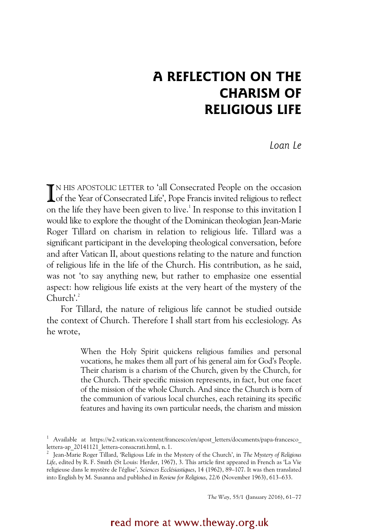# **A REFLECTION ON THE CHARISM OF RELIGIOUS LIFE**

*Loan Le*

IN HIS APOSTOLIC LETTER to 'all Consecrated People on the occasion<br>Of the Year of Consecrated Life', Pope Francis invited religious to reflect Lof the Year of Consecrated Life', Pope Francis invited religious to reflect on the life they have been given to live.<sup>1</sup> In response to this invitation I would like to explore the thought of the Dominican theologian Jean-Marie Roger Tillard on charism in relation to religious life. Tillard was a significant participant in the developing theological conversation, before and after Vatican II, about questions relating to the nature and function of religious life in the life of the Church. His contribution, as he said, was not 'to say anything new, but rather to emphasize one essential aspect: how religious life exists at the very heart of the mystery of the Church'.<sup>2</sup>

For Tillard, the nature of religious life cannot be studied outside the context of Church. Therefore I shall start from his ecclesiology. As he wrote,

> When the Holy Spirit quickens religious families and personal vocations, he makes them all part of his general aim for God's People. Their charism is a charism of the Church, given by the Church, for the Church. Their specific mission represents, in fact, but one facet of the mission of the whole Church. And since the Church is born of the communion of various local churches, each retaining its specific features and having its own particular needs, the charism and mission

*The Way*, 55/1 (January 2016), 61–77

read more at www.theway.org.uk

<sup>&</sup>lt;sup>1</sup> Available at https://w2.vatican.va/content/francesco/en/apost letters/documents/papa-francesco lettera-ap\_20141121\_lettera-consacrati.html, n. 1.

<sup>2</sup> Jean-Marie Roger Tillard, 'Religious Life in the Mystery of the Church', in *The Mystery of Religious Life*, edited by R. F. Smith (St Louis: Herder, 1967), 3. This article first appeared in French as 'La Vie religieuse dans le mystère de l'église', *Sciences Ecclésiastiques*, 14 (1962), 89–107. It was then translated into English by M. Susanna and published in *Review for Religious*, 22/6 (November 1963), 613–633.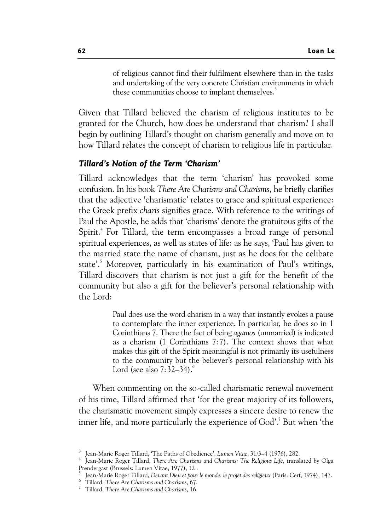of religious cannot find their fulfilment elsewhere than in the tasks and undertaking of the very concrete Christian environments in which these communities choose to implant themselves.<sup>3</sup>

Given that Tillard believed the charism of religious institutes to be granted for the Church, how does he understand that charism? I shall begin by outlining Tillard's thought on charism generally and move on to how Tillard relates the concept of charism to religious life in particular.

#### *Tillard's Notion of the Term 'Charism'*

Tillard acknowledges that the term 'charism' has provoked some confusion. In his book *There Are Charisms and Charisms*, he briefly clarifies that the adjective 'charismatic' relates to grace and spiritual experience: the Greek prefix *charis* signifies grace. With reference to the writings of Paul the Apostle, he adds that 'charisms' denote the gratuitous gifts of the Spirit.<sup>4</sup> For Tillard, the term encompasses a broad range of personal spiritual experiences, as well as states of life: as he says, 'Paul has given to the married state the name of charism, just as he does for the celibate state'.<sup>5</sup> Moreover, particularly in his examination of Paul's writings, Tillard discovers that charism is not just a gift for the benefit of the community but also a gift for the believer's personal relationship with the Lord:

> Paul does use the word charism in a way that instantly evokes a pause to contemplate the inner experience. In particular, he does so in 1 Corinthians 7. There the fact of being *agamos* (unmarried) is indicated as a charism (1 Corinthians 7:7). The context shows that what makes this gift of the Spirit meaningful is not primarily its usefulness to the community but the believer's personal relationship with his Lord (see also  $7:32-34$ ).<sup>6</sup>

When commenting on the so-called charismatic renewal movement of his time, Tillard affirmed that 'for the great majority of its followers, the charismatic movement simply expresses a sincere desire to renew the inner life, and more particularly the experience of God'.<sup>7</sup> But when 'the

5 Jean-Marie Roger Tillard, *Devant Dieu et pour le monde: le projet des religieux* (Paris: Cerf, 1974), 147. <sup>6</sup>

<sup>&</sup>lt;sup>3</sup> Jean-Marie Roger Tillard, 'The Paths of Obedience', *Lumen Vitae*, 31/3–4 (1976), 282.<br><sup>4</sup> Jean-Marie Roger Tillard, Thara Age Charinne and Charinne The Palizious Life, transl

Jean-Marie Roger Tillard, *There Are Charisms and Charisms: The Religious Life*, translated by Olga Prendergast (Brussels: Lumen Vitae, 1977), 12 .

<sup>&</sup>lt;sup>6</sup> Tillard, *There Are Charisms and Charisms*, 67.

Tillard, *There Are Charisms and Charisms*, 16.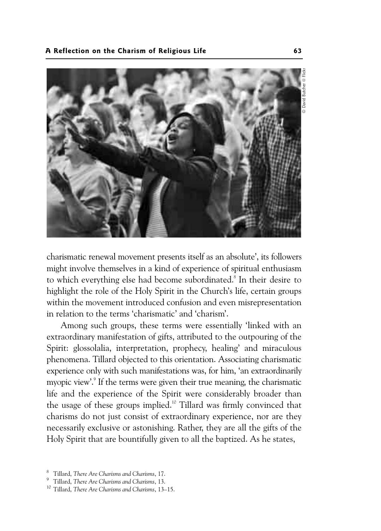

charismatic renewal movement presents itself as an absolute', its followers might involve themselves in a kind of experience of spiritual enthusiasm to which everything else had become subordinated.<sup>8</sup> In their desire to highlight the role of the Holy Spirit in the Church's life, certain groups within the movement introduced confusion and even misrepresentation in relation to the terms 'charismatic' and 'charism'.

Among such groups, these terms were essentially 'linked with an extraordinary manifestation of gifts, attributed to the outpouring of the Spirit: glossolalia, interpretation, prophecy, healing' and miraculous phenomena. Tillard objected to this orientation. Associating charismatic experience only with such manifestations was, for him, 'an extraordinarily myopic view'.<sup>9</sup> If the terms were given their true meaning, the charismatic life and the experience of the Spirit were considerably broader than the usage of these groups implied.<sup>10</sup> Tillard was firmly convinced that charisms do not just consist of extraordinary experience, nor are they necessarily exclusive or astonishing. Rather, they are all the gifts of the Holy Spirit that are bountifully given to all the baptized. As he states,

<sup>8</sup> Tillard, *There Are Charisms and Charisms*, 17.

<sup>9</sup> Tillard, *There Are Charisms and Charisms*, 13.

<sup>10</sup> Tillard, *There Are Charisms and Charisms*, 13–15.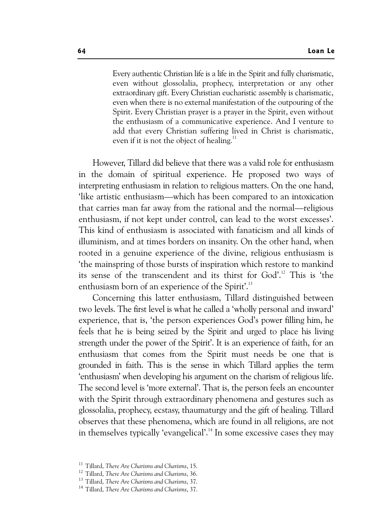Every authentic Christian life is a life in the Spirit and fully charismatic, even without glossolalia, prophecy, interpretation or any other extraordinary gift. Every Christian eucharistic assembly is charismatic, even when there is no external manifestation of the outpouring of the Spirit. Every Christian prayer is a prayer in the Spirit, even without the enthusiasm of a communicative experience. And I venture to add that every Christian suffering lived in Christ is charismatic, even if it is not the object of healing. $11$ 

However, Tillard did believe that there was a valid role for enthusiasm in the domain of spiritual experience. He proposed two ways of interpreting enthusiasm in relation to religious matters. On the one hand, 'like artistic enthusiasm—which has been compared to an intoxication that carries man far away from the rational and the normal—religious enthusiasm, if not kept under control, can lead to the worst excesses'. This kind of enthusiasm is associated with fanaticism and all kinds of illuminism, and at times borders on insanity. On the other hand, when rooted in a genuine experience of the divine, religious enthusiasm is 'the mainspring of those bursts of inspiration which restore to mankind its sense of the transcendent and its thirst for God'.<sup>12</sup> This is 'the enthusiasm born of an experience of the Spirit'.<sup>13</sup>

Concerning this latter enthusiasm, Tillard distinguished between two levels. The first level is what he called a 'wholly personal and inward' experience, that is, 'the person experiences God's power filling him, he feels that he is being seized by the Spirit and urged to place his living strength under the power of the Spirit'. It is an experience of faith, for an enthusiasm that comes from the Spirit must needs be one that is grounded in faith. This is the sense in which Tillard applies the term 'enthusiasm' when developing his argument on the charism of religious life. The second level is 'more external'. That is, the person feels an encounter with the Spirit through extraordinary phenomena and gestures such as glossolalia, prophecy, ecstasy, thaumaturgy and the gift of healing. Tillard observes that these phenomena, which are found in all religions, are not in themselves typically 'evangelical'.<sup>14</sup> In some excessive cases they may

<sup>11</sup> Tillard, *There Are Charisms and Charisms*, 15.

<sup>12</sup> Tillard, *There Are Charisms and Charisms*, 36.

<sup>13</sup> Tillard, *There Are Charisms and Charisms*, 37.

<sup>14</sup> Tillard, *There Are Charisms and Charisms*, 37.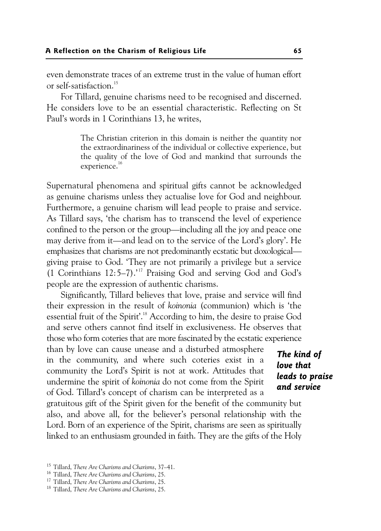even demonstrate traces of an extreme trust in the value of human effort or self-satisfaction.15

For Tillard, genuine charisms need to be recognised and discerned. He considers love to be an essential characteristic. Reflecting on St Paul's words in 1 Corinthians 13, he writes,

> The Christian criterion in this domain is neither the quantity nor the extraordinariness of the individual or collective experience, but the quality of the love of God and mankind that surrounds the experience.<sup>16</sup>

Supernatural phenomena and spiritual gifts cannot be acknowledged as genuine charisms unless they actualise love for God and neighbour. Furthermore, a genuine charism will lead people to praise and service. As Tillard says, 'the charism has to transcend the level of experience confined to the person or the group—including all the joy and peace one may derive from it—and lead on to the service of the Lord's glory'. He emphasizes that charisms are not predominantly ecstatic but doxological giving praise to God. 'They are not primarily a privilege but a service (1 Corinthians  $12:5-7$ ).<sup>17</sup> Praising God and serving God and God's people are the expression of authentic charisms.

Significantly, Tillard believes that love, praise and service will find their expression in the result of *koinonia* (communion) which is 'the essential fruit of the Spirit'.18 According to him, the desire to praise God and serve others cannot find itself in exclusiveness. He observes that those who form coteries that are more fascinated by the ecstatic experience

than by love can cause unease and a disturbed atmosphere in the community, and where such coteries exist in a community the Lord's Spirit is not at work. Attitudes that undermine the spirit of *koinonia* do not come from the Spirit of God. Tillard's concept of charism can be interpreted as a

*The kind of love that leads to praise and service* 

gratuitous gift of the Spirit given for the benefit of the community but also, and above all, for the believer's personal relationship with the Lord. Born of an experience of the Spirit, charisms are seen as spiritually linked to an enthusiasm grounded in faith. They are the gifts of the Holy

<sup>15</sup> Tillard, *There Are Charisms and Charisms*, 37–41.

<sup>16</sup> Tillard, *There Are Charisms and Charisms*, 25. 17 Tillard, *There Are Charisms and Charisms*, 25. 18 Tillard, *There Are Charisms and Charisms*, 25.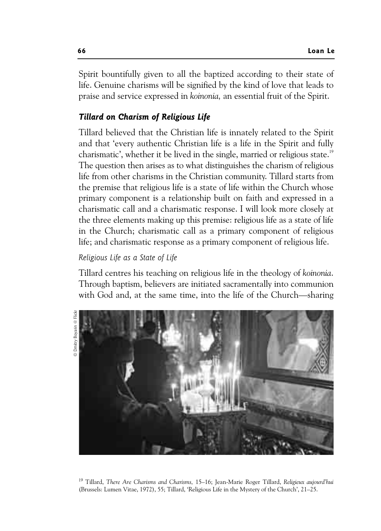Spirit bountifully given to all the baptized according to their state of life. Genuine charisms will be signified by the kind of love that leads to praise and service expressed in *koinonia,* an essential fruit of the Spirit.

#### *Tillard on Charism of Religious Life*

Tillard believed that the Christian life is innately related to the Spirit and that 'every authentic Christian life is a life in the Spirit and fully charismatic', whether it be lived in the single, married or religious state.<sup>19</sup> The question then arises as to what distinguishes the charism of religious life from other charisms in the Christian community. Tillard starts from the premise that religious life is a state of life within the Church whose primary component is a relationship built on faith and expressed in a charismatic call and a charismatic response. I will look more closely at the three elements making up this premise: religious life as a state of life in the Church; charismatic call as a primary component of religious life; and charismatic response as a primary component of religious life.

### *Religious Life as a State of Life*

Tillard centres his teaching on religious life in the theology of *koinonia*. Through baptism, believers are initiated sacramentally into communion with God and, at the same time, into the life of the Church—sharing



19 Tillard, *There Are Charisms and Charisms,* 15–16; Jean-Marie Roger Tillard, *Religieux aujourd'hui* (Brussels: Lumen Vitae, 1972), 55; Tillard, 'Religious Life in the Mystery of the Church', 21–25.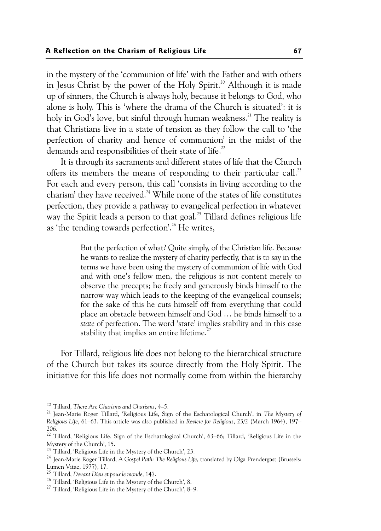in the mystery of the 'communion of life' with the Father and with others in Jesus Christ by the power of the Holy Spirit.<sup>20</sup> Although it is made up of sinners, the Church is always holy, because it belongs to God, who alone is holy. This is 'where the drama of the Church is situated': it is holy in God's love, but sinful through human weakness.<sup>21</sup> The reality is that Christians live in a state of tension as they follow the call to 'the perfection of charity and hence of communion' in the midst of the demands and responsibilities of their state of life.<sup>22</sup>

It is through its sacraments and different states of life that the Church offers its members the means of responding to their particular call.<sup>23</sup> For each and every person, this call 'consists in living according to the charism' they have received.<sup>24</sup> While none of the states of life constitutes perfection, they provide a pathway to evangelical perfection in whatever way the Spirit leads a person to that goal.<sup>25</sup> Tillard defines religious life as 'the tending towards perfection'.<sup>26</sup> He writes,

> But the perfection of what? Quite simply, of the Christian life. Because he wants to realize the mystery of charity perfectly, that is to say in the terms we have been using the mystery of communion of life with God and with one's fellow men, the religious is not content merely to observe the precepts; he freely and generously binds himself to the narrow way which leads to the keeping of the evangelical counsels; for the sake of this he cuts himself off from everything that could place an obstacle between himself and God … he binds himself to a *state* of perfection. The word 'state' implies stability and in this case stability that implies an entire lifetime.<sup>27</sup>

For Tillard, religious life does not belong to the hierarchical structure of the Church but takes its source directly from the Holy Spirit. The initiative for this life does not normally come from within the hierarchy

<sup>&</sup>lt;sup>20</sup> Tillard, *There Are Charisms and Charisms*, 4–5.<br><sup>21</sup> Jean-Marie Roger Tillard, 'Religious Life, Sign of the Eschatological Church', in *The Mystery of Religious Life*, 61–63. This article was also published in *Review for Religious*, 23/2 (March 1964), 197– 206.

 $^{22}$  Tillard, 'Religious Life, Sign of the Eschatological Church', 63–66; Tillard, 'Religious Life in the Mystery of the Church', 15.

<sup>&</sup>lt;sup>23</sup> Tillard, 'Religious Life in the Mystery of the Church', 23.

<sup>24</sup> Jean-Marie Roger Tillard, *A Gospel Path: The Religious Life*, translated by Olga Prendergast (Brussels: Lumen Vitae, 1977), 17.<br><sup>25</sup> Tillard, Devant Dieu et pour le monde, 147.

<sup>&</sup>lt;sup>26</sup> Tillard, 'Religious Life in the Mystery of the Church', 8.

<sup>27</sup> Tillard, 'Religious Life in the Mystery of the Church', 8–9.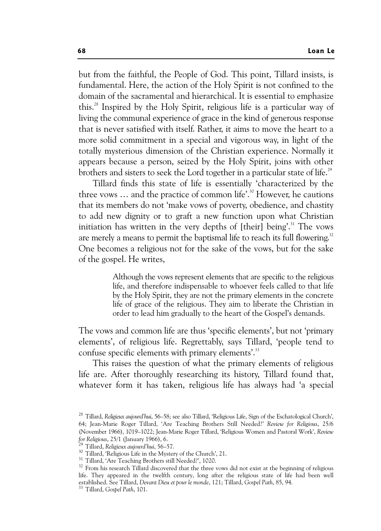but from the faithful, the People of God. This point, Tillard insists, is fundamental. Here, the action of the Holy Spirit is not confined to the domain of the sacramental and hierarchical. It is essential to emphasize this.28 Inspired by the Holy Spirit, religious life is a particular way of living the communal experience of grace in the kind of generous response that is never satisfied with itself. Rather, it aims to move the heart to a more solid commitment in a special and vigorous way, in light of the totally mysterious dimension of the Christian experience. Normally it appears because a person, seized by the Holy Spirit, joins with other brothers and sisters to seek the Lord together in a particular state of life.<sup>29</sup>

Tillard finds this state of life is essentially 'characterized by the three vows  $\ldots$  and the practice of common life'.<sup>30</sup> However, he cautions that its members do not 'make vows of poverty, obedience, and chastity to add new dignity or to graft a new function upon what Christian initiation has written in the very depths of  $[$ their $]$  being'.<sup>31</sup> The vows are merely a means to permit the baptismal life to reach its full flowering.<sup>32</sup> One becomes a religious not for the sake of the vows, but for the sake of the gospel. He writes,

> Although the vows represent elements that are specific to the religious life, and therefore indispensable to whoever feels called to that life by the Holy Spirit, they are not the primary elements in the concrete life of grace of the religious. They aim to liberate the Christian in order to lead him gradually to the heart of the Gospel's demands.

The vows and common life are thus 'specific elements', but not 'primary elements', of religious life. Regrettably, says Tillard, 'people tend to confuse specific elements with primary elements'.<sup>33</sup>

This raises the question of what the primary elements of religious life are. After thoroughly researching its history, Tillard found that, whatever form it has taken, religious life has always had 'a special

<sup>28</sup> Tillard, *Religieux aujourd'hui*, 56–58; see also Tillard, 'Religious Life, Sign of the Eschatological Church', 64; Jean-Marie Roger Tillard, 'Are Teaching Brothers Still Needed?' *Review for Religious*, 25/6 (November 1966), 1019–1022; Jean-Marie Roger Tillard, 'Religious Women and Pastoral Work', *Review for Religious*, 25/1 (January 1966), 6. 29 Tillard, *Religieux aujourd'hui*, 56–57. 30 Tillard, 'Religious Life in the Mystery of the Church', 21.

<sup>&</sup>lt;sup>31</sup> Tillard, 'Are Teaching Brothers still Needed?', 1020.

<sup>&</sup>lt;sup>32</sup> From his research Tillard discovered that the three vows did not exist at the beginning of religious life. They appeared in the twelfth century, long after the religious state of life had been well established. See Tillard, *Devant Dieu et pour le monde*, 121; Tillard, *Gospel Path*, 85, 94. 33 Tillard, *Gospel Path*, 101.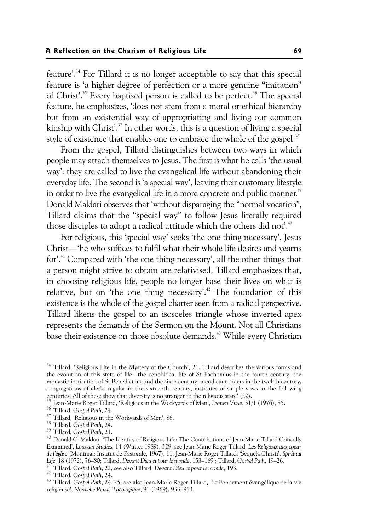feature'.34 For Tillard it is no longer acceptable to say that this special feature is 'a higher degree of perfection or a more genuine "imitation" of Christ'.<sup>35</sup> Every baptized person is called to be perfect.<sup>36</sup> The special feature, he emphasizes, 'does not stem from a moral or ethical hierarchy but from an existential way of appropriating and living our common kinship with Christ'. $37$  In other words, this is a question of living a special style of existence that enables one to embrace the whole of the gospel.<sup>38</sup>

From the gospel, Tillard distinguishes between two ways in which people may attach themselves to Jesus. The first is what he calls 'the usual way': they are called to live the evangelical life without abandoning their everyday life. The second is 'a special way', leaving their customary lifestyle in order to live the evangelical life in a more concrete and public manner.<sup>39</sup> Donald Maldari observes that 'without disparaging the "normal vocation", Tillard claims that the "special way" to follow Jesus literally required those disciples to adopt a radical attitude which the others did not'.<sup>40</sup>

For religious, this 'special way' seeks 'the one thing necessary', Jesus Christ—'he who suffices to fulfil what their whole life desires and yearns for'.41 Compared with 'the one thing necessary', all the other things that a person might strive to obtain are relativised. Tillard emphasizes that, in choosing religious life, people no longer base their lives on what is relative, but on 'the one thing necessary'.<sup>42</sup> The foundation of this existence is the whole of the gospel charter seen from a radical perspective. Tillard likens the gospel to an isosceles triangle whose inverted apex represents the demands of the Sermon on the Mount. Not all Christians base their existence on those absolute demands.<sup>43</sup> While every Christian

<sup>&</sup>lt;sup>34</sup> Tillard, 'Religious Life in the Mystery of the Church', 21. Tillard describes the various forms and the evolution of this state of life: 'the cenobitical life of St Pachomius in the fourth century, the monastic institution of St Benedict around the sixth century, mendicant orders in the twelfth century, congregations of clerks regular in the sixteenth century, institutes of simple vows in the following centuries. All of these show that diversity is no stranger to the religious state' (22).<br><sup>35</sup> Jean-Marie Roger Tillard, 'Religious in the Workyards of Men', *Lumen Vitae*, 31/1 (1976), 85.<br><sup>36</sup> Tillard, Gospel Path, 24.<br><sup>3</sup>

<sup>38</sup> Tillard, *Gospel Path*, 24. 39 Tillard, *Gospel Path*, 21. 40 Donald C. Maldari, 'The Identity of Religious Life: The Contributions of Jean-Marie Tillard Critically Examined', *Louvain Studies*, 14 (Winter 1989), 329; see Jean-Marie Roger Tillard, *Les Religieux aux coeur de l'église* (Montreal: Institut de Pastorale, 1967), 11; Jean-Marie Roger Tillard, 'Sequela Christi', *Spiritual*  Life, 18 (1972), 76–80; Tillard, Devant Dieu et pour le monde, 153–169 ; Tillard, Gospel Path, 19–26.<br><sup>41</sup> Tillard, Gospel Path, 22; see also Tillard, Devant Dieu et pour le monde, 193.<br><sup>42</sup> Tillard, Gospel Path, 24.<br><sup>43</sup>

religieuse', *Nouvelle Revue Théologique*, 91 (1969), 933–953.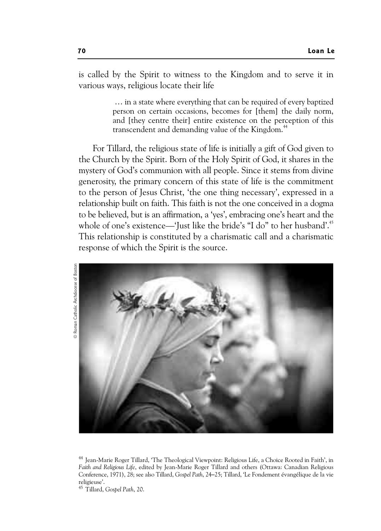is called by the Spirit to witness to the Kingdom and to serve it in various ways, religious locate their life

> … in a state where everything that can be required of every baptized person on certain occasions, becomes for [them] the daily norm, and [they centre their] entire existence on the perception of this transcendent and demanding value of the Kingdom.<sup>44</sup>

For Tillard, the religious state of life is initially a gift of God given to the Church by the Spirit. Born of the Holy Spirit of God, it shares in the mystery of God's communion with all people. Since it stems from divine generosity, the primary concern of this state of life is the commitment to the person of Jesus Christ, 'the one thing necessary', expressed in a relationship built on faith. This faith is not the one conceived in a dogma to be believed, but is an affirmation, a 'yes', embracing one's heart and the whole of one's existence—'Just like the bride's "I do" to her husband'.<sup>45</sup> This relationship is constituted by a charismatic call and a charismatic response of which the Spirit is the source.



<sup>44</sup> Jean-Marie Roger Tillard, 'The Theological Viewpoint: Religious Life, a Choice Rooted in Faith', in *Faith and Religious Life*, edited by Jean-Marie Roger Tillard and others (Ottawa: Canadian Religious Conference, 1971), 28; see also Tillard, *Gospel Path*, 24–25; Tillard, 'Le Fondement évangélique de la vie religieuse'.

<sup>45</sup> Tillard, *Gospel Path*, 20.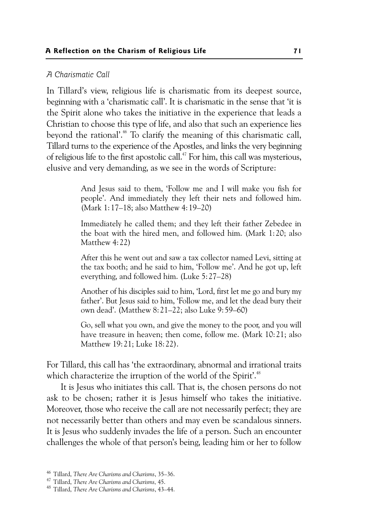#### *A Charismatic Call*

In Tillard's view, religious life is charismatic from its deepest source, beginning with a 'charismatic call'. It is charismatic in the sense that 'it is the Spirit alone who takes the initiative in the experience that leads a Christian to choose this type of life, and also that such an experience lies beyond the rational'.<sup>46</sup> To clarify the meaning of this charismatic call, Tillard turns to the experience of the Apostles, and links the very beginning of religious life to the first apostolic call.<sup>47</sup> For him, this call was mysterious, elusive and very demanding, as we see in the words of Scripture:

> And Jesus said to them, 'Follow me and I will make you fish for people'. And immediately they left their nets and followed him. (Mark 1:17–18; also Matthew 4:19–20)

> Immediately he called them; and they left their father Zebedee in the boat with the hired men, and followed him. (Mark 1:20; also Matthew 4:22)

> After this he went out and saw a tax collector named Levi, sitting at the tax booth; and he said to him, 'Follow me'. And he got up, left everything, and followed him. (Luke 5:27–28)

> Another of his disciples said to him, 'Lord, first let me go and bury my father'. But Jesus said to him, 'Follow me, and let the dead bury their own dead'. (Matthew 8:21–22; also Luke 9:59–60)

> Go, sell what you own, and give the money to the poor, and you will have treasure in heaven; then come, follow me. (Mark 10:21; also Matthew 19:21; Luke 18:22).

For Tillard, this call has 'the extraordinary, abnormal and irrational traits which characterize the irruption of the world of the Spirit'.<sup>48</sup>

It is Jesus who initiates this call. That is, the chosen persons do not ask to be chosen; rather it is Jesus himself who takes the initiative. Moreover, those who receive the call are not necessarily perfect; they are not necessarily better than others and may even be scandalous sinners. It is Jesus who suddenly invades the life of a person. Such an encounter challenges the whole of that person's being, leading him or her to follow

<sup>46</sup> Tillard, *There Are Charisms and Charisms*, 35–36. 47 Tillard, *There Are Charisms and Charisms,* 45. 48 Tillard, *There Are Charisms and Charisms*, 43–44.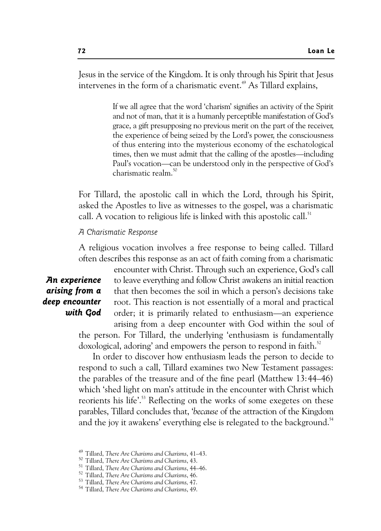Jesus in the service of the Kingdom. It is only through his Spirit that Jesus intervenes in the form of a charismatic event.<sup>49</sup> As Tillard explains,

> If we all agree that the word 'charism' signifies an activity of the Spirit and not of man, that it is a humanly perceptible manifestation of God's grace, a gift presupposing no previous merit on the part of the receiver, the experience of being seized by the Lord's power, the consciousness of thus entering into the mysterious economy of the eschatological times, then we must admit that the calling of the apostles—including Paul's vocation—can be understood only in the perspective of God's charismatic realm.<sup>50</sup>

For Tillard, the apostolic call in which the Lord, through his Spirit, asked the Apostles to live as witnesses to the gospel, was a charismatic call. A vocation to religious life is linked with this apostolic call.<sup>51</sup>

#### *A Charismatic Response*

A religious vocation involves a free response to being called. Tillard often describes this response as an act of faith coming from a charismatic

## *An experience arising from a deep encounter with God*

encounter with Christ. Through such an experience, God's call to leave everything and follow Christ awakens an initial reaction that then becomes the soil in which a person's decisions take root. This reaction is not essentially of a moral and practical order; it is primarily related to enthusiasm—an experience arising from a deep encounter with God within the soul of the person. For Tillard, the underlying 'enthusiasm is fundamentally doxological, adoring' and empowers the person to respond in faith.<sup>52</sup>

In order to discover how enthusiasm leads the person to decide to respond to such a call, Tillard examines two New Testament passages: the parables of the treasure and of the fine pearl (Matthew 13:44–46) which 'shed light on man's attitude in the encounter with Christ which reorients his life'.<sup>53</sup> Reflecting on the works of some exegetes on these parables, Tillard concludes that, '*because* of the attraction of the Kingdom and the joy it awakens' everything else is relegated to the background.<sup>54</sup>

<sup>&</sup>lt;sup>49</sup> Tillard, *There Are Charisms and Charisms*, 41–43.<br><sup>50</sup> Tillard, *There Are Charisms and Charisms*, 43.<br><sup>51</sup> Tillard, *There Are Charisms and Charisms*, 44–46.<br><sup>52</sup> Tillard, *There Are Charisms and Charisms*, 46.<br><sup>53</sup>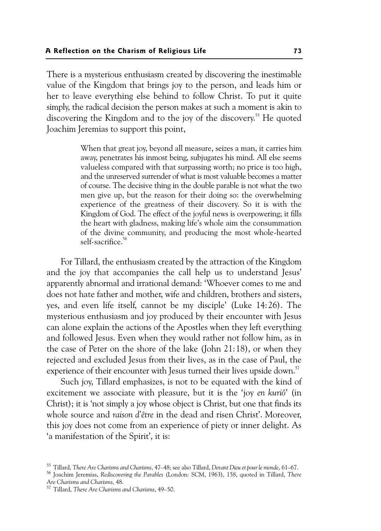There is a mysterious enthusiasm created by discovering the inestimable value of the Kingdom that brings joy to the person, and leads him or her to leave everything else behind to follow Christ. To put it quite simply, the radical decision the person makes at such a moment is akin to discovering the Kingdom and to the joy of the discovery.<sup>55</sup> He quoted Joachim Jeremias to support this point,

> When that great joy, beyond all measure, seizes a man, it carries him away, penetrates his inmost being, subjugates his mind. All else seems valueless compared with that surpassing worth; no price is too high, and the unreserved surrender of what is most valuable becomes a matter of course. The decisive thing in the double parable is not what the two men give up, but the reason for their doing so: the overwhelming experience of the greatness of their discovery. So it is with the Kingdom of God. The effect of the joyful news is overpowering; it fills the heart with gladness, making life's whole aim the consummation of the divine community, and producing the most whole-hearted self-sacrifice.<sup>56</sup>

For Tillard, the enthusiasm created by the attraction of the Kingdom and the joy that accompanies the call help us to understand Jesus' apparently abnormal and irrational demand: 'Whoever comes to me and does not hate father and mother, wife and children, brothers and sisters, yes, and even life itself, cannot be my disciple' (Luke 14:26). The mysterious enthusiasm and joy produced by their encounter with Jesus can alone explain the actions of the Apostles when they left everything and followed Jesus. Even when they would rather not follow him, as in the case of Peter on the shore of the lake (John 21:18), or when they rejected and excluded Jesus from their lives, as in the case of Paul, the experience of their encounter with Jesus turned their lives upside down.<sup>57</sup>

Such joy, Tillard emphasizes, is not to be equated with the kind of excitement we associate with pleasure, but it is the 'joy *en kuriô*' (in Christ); it is 'not simply a joy whose object is Christ, but one that finds its whole source and *raison d'être* in the dead and risen Christ'. Moreover, this joy does not come from an experience of piety or inner delight. As 'a manifestation of the Spirit', it is:

<sup>&</sup>lt;sup>55</sup> Tillard, *There Are Charisms and Charisms,* 47–48; see also Tillard, *Devant Dieu et pour le monde,* 61–67.<br><sup>56</sup> Joachim Jeremias, *Rediscovering the Parables (*London: SCM, 1963), 158, quoted in Tillard, *There* 

*Are Charisms and Charisms,* 48. 57 Tillard, *There Are Charisms and Charisms*, 49–50.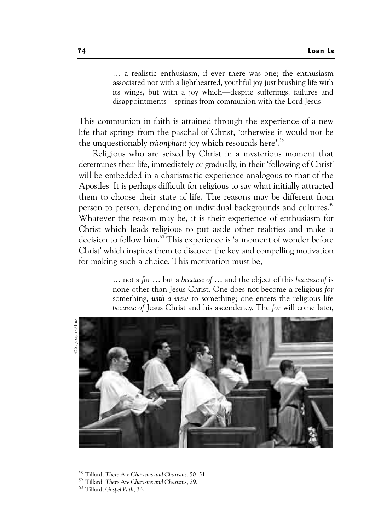… a realistic enthusiasm, if ever there was one; the enthusiasm associated not with a lighthearted, youthful joy just brushing life with its wings, but with a joy which—despite sufferings, failures and disappointments—springs from communion with the Lord Jesus.

This communion in faith is attained through the experience of a new life that springs from the paschal of Christ, 'otherwise it would not be the unquestionably *triumphant* joy which resounds here'.58

Religious who are seized by Christ in a mysterious moment that determines their life, immediately or gradually, in their 'following of Christ' will be embedded in a charismatic experience analogous to that of the Apostles. It is perhaps difficult for religious to say what initially attracted them to choose their state of life. The reasons may be different from person to person, depending on individual backgrounds and cultures.<sup>59</sup> Whatever the reason may be, it is their experience of enthusiasm for Christ which leads religious to put aside other realities and make a decision to follow him.<sup>60</sup> This experience is 'a moment of wonder before Christ' which inspires them to discover the key and compelling motivation for making such a choice. This motivation must be,

> … not a *for* … but a *because of* … and the object of this *because of* is none other than Jesus Christ. One does not become a religious *for* something, *with a view* to something; one enters the religious life *because of* Jesus Christ and his ascendency. The *for* will come later,



58 Tillard, *There Are Charisms and Charisms,* 50–51. 59 Tillard, *There Are Charisms and Charisms*, 29. 60 Tillard, *Gospel Path*, 34.

- 
-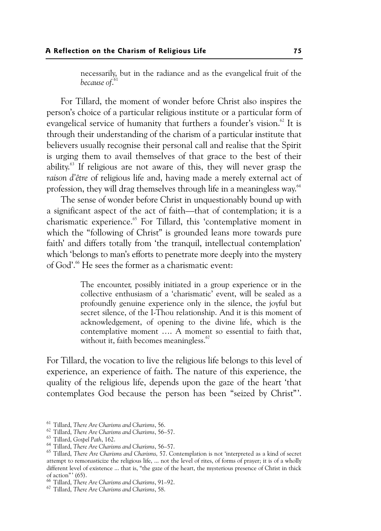necessarily, but in the radiance and as the evangelical fruit of the *because of*. 61

For Tillard, the moment of wonder before Christ also inspires the person's choice of a particular religious institute or a particular form of evangelical service of humanity that furthers a founder's vision.<sup>62</sup> It is through their understanding of the charism of a particular institute that believers usually recognise their personal call and realise that the Spirit is urging them to avail themselves of that grace to the best of their ability.63 If religious are not aware of this, they will never grasp the *raison d'être* of religious life and, having made a merely external act of profession, they will drag themselves through life in a meaningless way.<sup>64</sup>

The sense of wonder before Christ in unquestionably bound up with a significant aspect of the act of faith—that of contemplation; it is a charismatic experience.<sup>65</sup> For Tillard, this 'contemplative moment in which the "following of Christ" is grounded leans more towards pure faith' and differs totally from 'the tranquil, intellectual contemplation' which 'belongs to man's efforts to penetrate more deeply into the mystery of God'.66 He sees the former as a charismatic event:

> The encounter, possibly initiated in a group experience or in the collective enthusiasm of a 'charismatic' event, will be sealed as a profoundly genuine experience only in the silence, the joyful but secret silence, of the I-Thou relationship. And it is this moment of acknowledgement, of opening to the divine life, which is the contemplative moment …. A moment so essential to faith that, without it, faith becomes meaningless.<sup>67</sup>

For Tillard, the vocation to live the religious life belongs to this level of experience, an experience of faith. The nature of this experience, the quality of the religious life, depends upon the gaze of the heart 'that contemplates God because the person has been "seized by Christ"'.

<sup>&</sup>lt;sup>61</sup> Tillard, *There Are Charisms and Charisms*, 56.<br><sup>62</sup> Tillard, *There Are Charisms and Charisms*, 56–57.<br><sup>63</sup> Tillard, *Gospel Path*, 162.<br><sup>64</sup> Tillard, *There Are Charisms and Charisms*, 56–57.<br><sup>65</sup> Tillard, *There A* attempt to remonasticize the religious life, ... not the level of rites, of forms of prayer; it is of a wholly different level of existence ... that is, "the gaze of the heart, the mysterious presence of Christ in thick of action" (65).<br><sup>66</sup> Tillard, There Are Charisms and Charisms, 91–92.

<sup>&</sup>lt;sup>67</sup> Tillard, *There Are Charisms and Charisms*, 58.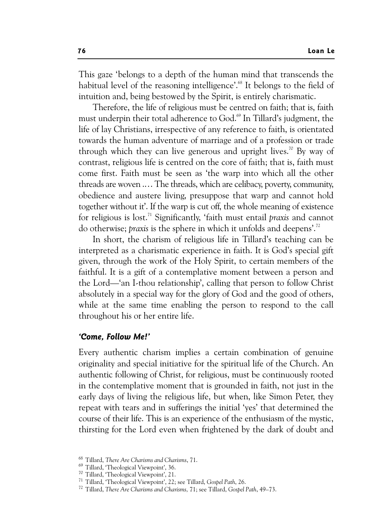This gaze 'belongs to a depth of the human mind that transcends the habitual level of the reasoning intelligence'.<sup>68</sup> It belongs to the field of intuition and, being bestowed by the Spirit, is entirely charismatic.

Therefore, the life of religious must be centred on faith; that is, faith must underpin their total adherence to God.<sup>69</sup> In Tillard's judgment, the life of lay Christians, irrespective of any reference to faith, is orientated towards the human adventure of marriage and of a profession or trade through which they can live generous and upright lives.<sup>70</sup> By way of contrast, religious life is centred on the core of faith; that is, faith must come first. Faith must be seen as 'the warp into which all the other threads are woven .… The threads, which are celibacy, poverty, community, obedience and austere living, presuppose that warp and cannot hold together without it'. If the warp is cut off, the whole meaning of existence for religious is lost.71 Significantly, 'faith must entail *praxis* and cannot do otherwise; *praxis* is the sphere in which it unfolds and deepens'.72

In short, the charism of religious life in Tillard's teaching can be interpreted as a charismatic experience in faith. It is God's special gift given, through the work of the Holy Spirit, to certain members of the faithful. It is a gift of a contemplative moment between a person and the Lord—'an I-thou relationship', calling that person to follow Christ absolutely in a special way for the glory of God and the good of others, while at the same time enabling the person to respond to the call throughout his or her entire life.

#### *'Come, Follow Me!'*

Every authentic charism implies a certain combination of genuine originality and special initiative for the spiritual life of the Church. An authentic following of Christ, for religious, must be continuously rooted in the contemplative moment that is grounded in faith, not just in the early days of living the religious life, but when, like Simon Peter, they repeat with tears and in sufferings the initial 'yes' that determined the course of their life. This is an experience of the enthusiasm of the mystic, thirsting for the Lord even when frightened by the dark of doubt and

<sup>68</sup> Tillard, *There Are Charisms and Charisms*, 71. 69 Tillard, 'Theological Viewpoint', 36.

<sup>&</sup>lt;sup>70</sup> Tillard, 'Theological Viewpoint', 21.<br><sup>71</sup> Tillard, 'Theological Viewpoint', 22; see Tillard, Gospel Path, 26.

<sup>&</sup>lt;sup>72</sup> Tillard, There Are Charisms and Charisms, 71; see Tillard, *Gospel Path*, 49–73.